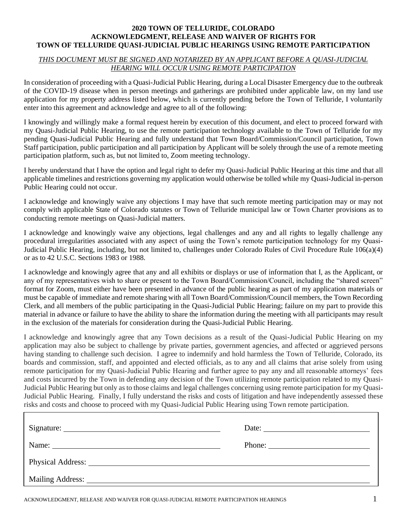## **2020 TOWN OF TELLURIDE, COLORADO ACKNOWLEDGMENT, RELEASE AND WAIVER OF RIGHTS FOR TOWN OF TELLURIDE QUASI-JUDICIAL PUBLIC HEARINGS USING REMOTE PARTICIPATION**

## *THIS DOCUMENT MUST BE SIGNED AND NOTARIZED BY AN APPLICANT BEFORE A QUASI-JUDICIAL HEARING WILL OCCUR USING REMOTE PARTICIPATION*

In consideration of proceeding with a Quasi-Judicial Public Hearing, during a Local Disaster Emergency due to the outbreak of the COVID-19 disease when in person meetings and gatherings are prohibited under applicable law, on my land use application for my property address listed below, which is currently pending before the Town of Telluride, I voluntarily enter into this agreement and acknowledge and agree to all of the following:

I knowingly and willingly make a formal request herein by execution of this document, and elect to proceed forward with my Quasi-Judicial Public Hearing, to use the remote participation technology available to the Town of Telluride for my pending Quasi-Judicial Public Hearing and fully understand that Town Board/Commission/Council participation, Town Staff participation, public participation and all participation by Applicant will be solely through the use of a remote meeting participation platform, such as, but not limited to, Zoom meeting technology.

I hereby understand that I have the option and legal right to defer my Quasi-Judicial Public Hearing at this time and that all applicable timelines and restrictions governing my application would otherwise be tolled while my Quasi-Judicial in-person Public Hearing could not occur.

I acknowledge and knowingly waive any objections I may have that such remote meeting participation may or may not comply with applicable State of Colorado statutes or Town of Telluride municipal law or Town Charter provisions as to conducting remote meetings on Quasi-Judicial matters.

I acknowledge and knowingly waive any objections, legal challenges and any and all rights to legally challenge any procedural irregularities associated with any aspect of using the Town's remote participation technology for my Quasi-Judicial Public Hearing, including, but not limited to, challenges under Colorado Rules of Civil Procedure Rule 106(a)(4) or as to 42 U.S.C. Sections 1983 or 1988.

I acknowledge and knowingly agree that any and all exhibits or displays or use of information that I, as the Applicant, or any of my representatives wish to share or present to the Town Board/Commission/Council, including the "shared screen" format for Zoom, must either have been presented in advance of the public hearing as part of my application materials or must be capable of immediate and remote sharing with all Town Board/Commission/Council members, the Town Recording Clerk, and all members of the public participating in the Quasi-Judicial Public Hearing; failure on my part to provide this material in advance or failure to have the ability to share the information during the meeting with all participants may result in the exclusion of the materials for consideration during the Quasi-Judicial Public Hearing.

I acknowledge and knowingly agree that any Town decisions as a result of the Quasi-Judicial Public Hearing on my application may also be subject to challenge by private parties, government agencies, and affected or aggrieved persons having standing to challenge such decision. I agree to indemnify and hold harmless the Town of Telluride, Colorado, its boards and commission, staff, and appointed and elected officials, as to any and all claims that arise solely from using remote participation for my Quasi-Judicial Public Hearing and further agree to pay any and all reasonable attorneys' fees and costs incurred by the Town in defending any decision of the Town utilizing remote participation related to my Quasi-Judicial Public Hearing but only as to those claims and legal challenges concerning using remote participation for my Quasi-Judicial Public Hearing. Finally, I fully understand the risks and costs of litigation and have independently assessed these risks and costs and choose to proceed with my Quasi-Judicial Public Hearing using Town remote participation.

|                                                                                                                                                                                                                                | Date: $\qquad \qquad$  |
|--------------------------------------------------------------------------------------------------------------------------------------------------------------------------------------------------------------------------------|------------------------|
|                                                                                                                                                                                                                                | Phone: $\qquad \qquad$ |
| Physical Address: No. 1996. The Second Second Second Second Second Second Second Second Second Second Second Second Second Second Second Second Second Second Second Second Second Second Second Second Second Second Second S |                        |
|                                                                                                                                                                                                                                |                        |